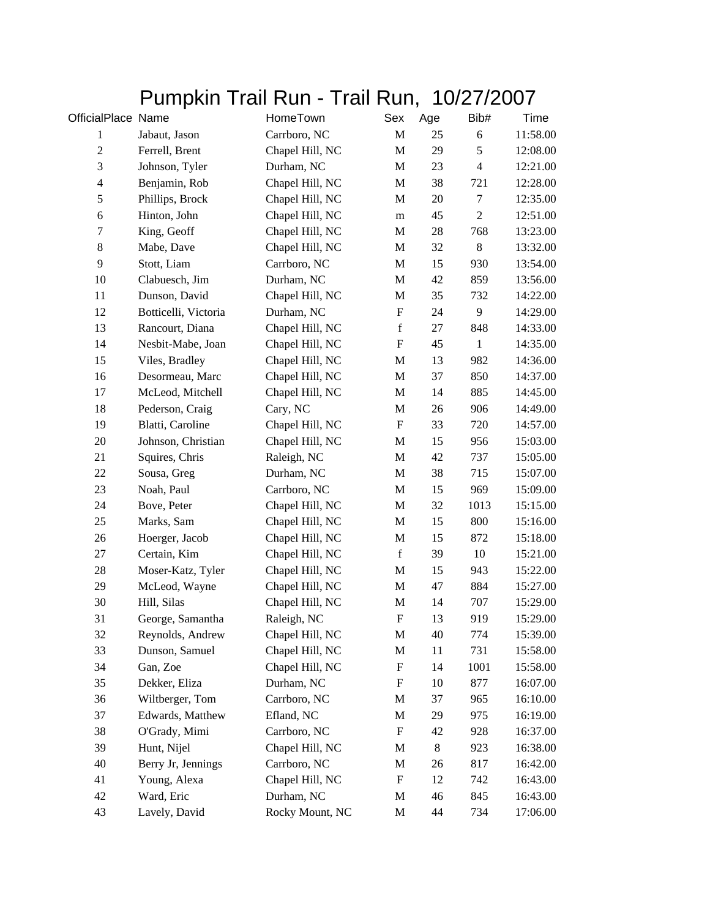## Pumpkin Trail Run - Trail Run, 10/27/2007

| OfficialPlace Name |                      | HomeTown        | Sex                       | Age   | Bib#           | Time     |
|--------------------|----------------------|-----------------|---------------------------|-------|----------------|----------|
| $\mathbf{1}$       | Jabaut, Jason        | Carrboro, NC    | $\mathbf M$               | 25    | 6              | 11:58.00 |
| $\sqrt{2}$         | Ferrell, Brent       | Chapel Hill, NC | $\mathbf M$               | 29    | $\mathfrak s$  | 12:08.00 |
| 3                  | Johnson, Tyler       | Durham, NC      | M                         | 23    | $\overline{4}$ | 12:21.00 |
| $\overline{4}$     | Benjamin, Rob        | Chapel Hill, NC | $\mathbf M$               | 38    | 721            | 12:28.00 |
| 5                  | Phillips, Brock      | Chapel Hill, NC | M                         | 20    | $\tau$         | 12:35.00 |
| $\sqrt{6}$         | Hinton, John         | Chapel Hill, NC | m                         | 45    | $\overline{c}$ | 12:51.00 |
| $\boldsymbol{7}$   | King, Geoff          | Chapel Hill, NC | $\mathbf M$               | 28    | 768            | 13:23.00 |
| $8\,$              | Mabe, Dave           | Chapel Hill, NC | M                         | 32    | $\,8\,$        | 13:32.00 |
| 9                  | Stott, Liam          | Carrboro, NC    | $\mathbf M$               | 15    | 930            | 13:54.00 |
| 10                 | Clabuesch, Jim       | Durham, NC      | $\mathbf M$               | 42    | 859            | 13:56.00 |
| 11                 | Dunson, David        | Chapel Hill, NC | M                         | 35    | 732            | 14:22.00 |
| 12                 | Botticelli, Victoria | Durham, NC      | ${\rm F}$                 | 24    | 9              | 14:29.00 |
| 13                 | Rancourt, Diana      | Chapel Hill, NC | $\mathbf f$               | 27    | 848            | 14:33.00 |
| 14                 | Nesbit-Mabe, Joan    | Chapel Hill, NC | ${\rm F}$                 | 45    | $\mathbf{1}$   | 14:35.00 |
| 15                 | Viles, Bradley       | Chapel Hill, NC | M                         | 13    | 982            | 14:36.00 |
| 16                 | Desormeau, Marc      | Chapel Hill, NC | M                         | 37    | 850            | 14:37.00 |
| 17                 | McLeod, Mitchell     | Chapel Hill, NC | $\mathbf M$               | 14    | 885            | 14:45.00 |
| 18                 | Pederson, Craig      | Cary, NC        | M                         | 26    | 906            | 14:49.00 |
| 19                 | Blatti, Caroline     | Chapel Hill, NC | $\boldsymbol{\mathrm{F}}$ | 33    | 720            | 14:57.00 |
| 20                 | Johnson, Christian   | Chapel Hill, NC | M                         | 15    | 956            | 15:03.00 |
| 21                 | Squires, Chris       | Raleigh, NC     | M                         | 42    | 737            | 15:05.00 |
| 22                 | Sousa, Greg          | Durham, NC      | M                         | 38    | 715            | 15:07.00 |
| 23                 | Noah, Paul           | Carrboro, NC    | $\mathbf M$               | 15    | 969            | 15:09.00 |
| 24                 | Bove, Peter          | Chapel Hill, NC | $\mathbf M$               | 32    | 1013           | 15:15.00 |
| 25                 | Marks, Sam           | Chapel Hill, NC | M                         | 15    | 800            | 15:16.00 |
| 26                 | Hoerger, Jacob       | Chapel Hill, NC | M                         | 15    | 872            | 15:18.00 |
| 27                 | Certain, Kim         | Chapel Hill, NC | $\mathbf f$               | 39    | 10             | 15:21.00 |
| 28                 | Moser-Katz, Tyler    | Chapel Hill, NC | M                         | 15    | 943            | 15:22.00 |
| 29                 | McLeod, Wayne        | Chapel Hill, NC | $\mathbf M$               | 47    | 884            | 15:27.00 |
| 30                 | Hill, Silas          | Chapel Hill, NC | M                         | 14    | 707            | 15:29.00 |
| 31                 | George, Samantha     | Raleigh, NC     | $\boldsymbol{\mathrm{F}}$ | 13    | 919            | 15:29.00 |
| 32                 | Reynolds, Andrew     | Chapel Hill, NC | M                         | 40    | 774            | 15:39.00 |
| 33                 | Dunson, Samuel       | Chapel Hill, NC | M                         | 11    | 731            | 15:58.00 |
| 34                 | Gan, Zoe             | Chapel Hill, NC | F                         | 14    | 1001           | 15:58.00 |
| 35                 | Dekker, Eliza        | Durham, NC      | $\mathbf F$               | 10    | 877            | 16:07.00 |
| 36                 | Wiltberger, Tom      | Carrboro, NC    | M                         | 37    | 965            | 16:10.00 |
| 37                 | Edwards, Matthew     | Efland, NC      | M                         | 29    | 975            | 16:19.00 |
| 38                 | O'Grady, Mimi        | Carrboro, NC    | $\boldsymbol{\mathrm{F}}$ | 42    | 928            | 16:37.00 |
| 39                 | Hunt, Nijel          | Chapel Hill, NC | M                         | $8\,$ | 923            | 16:38.00 |
| 40                 | Berry Jr, Jennings   | Carrboro, NC    | M                         | 26    | 817            | 16:42.00 |
| 41                 | Young, Alexa         | Chapel Hill, NC | $\boldsymbol{\mathrm{F}}$ | 12    | 742            | 16:43.00 |
| 42                 | Ward, Eric           | Durham, NC      | M                         | 46    | 845            | 16:43.00 |
| 43                 | Lavely, David        | Rocky Mount, NC | M                         | 44    | 734            | 17:06.00 |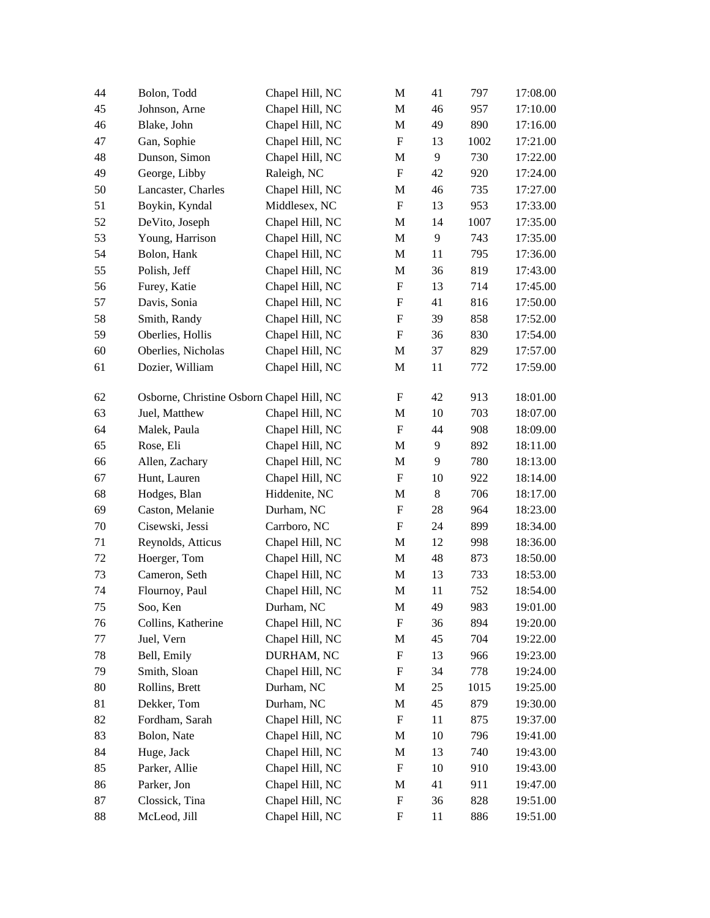| 44 | Bolon, Todd                               | Chapel Hill, NC | M                         | 41    | 797  | 17:08.00 |
|----|-------------------------------------------|-----------------|---------------------------|-------|------|----------|
| 45 | Johnson, Arne                             | Chapel Hill, NC | M                         | 46    | 957  | 17:10.00 |
| 46 | Blake, John                               | Chapel Hill, NC | M                         | 49    | 890  | 17:16.00 |
| 47 | Gan, Sophie                               | Chapel Hill, NC | $\boldsymbol{\mathrm{F}}$ | 13    | 1002 | 17:21.00 |
| 48 | Dunson, Simon                             | Chapel Hill, NC | $\mathbf M$               | 9     | 730  | 17:22.00 |
| 49 | George, Libby                             | Raleigh, NC     | $\boldsymbol{\mathrm{F}}$ | 42    | 920  | 17:24.00 |
| 50 | Lancaster, Charles                        | Chapel Hill, NC | M                         | 46    | 735  | 17:27.00 |
| 51 | Boykin, Kyndal                            | Middlesex, NC   | $\boldsymbol{\mathrm{F}}$ | 13    | 953  | 17:33.00 |
| 52 | DeVito, Joseph                            | Chapel Hill, NC | $\mathbf M$               | 14    | 1007 | 17:35.00 |
| 53 | Young, Harrison                           | Chapel Hill, NC | M                         | 9     | 743  | 17:35.00 |
| 54 | Bolon, Hank                               | Chapel Hill, NC | $\mathbf M$               | 11    | 795  | 17:36.00 |
| 55 | Polish, Jeff                              | Chapel Hill, NC | $\mathbf M$               | 36    | 819  | 17:43.00 |
| 56 | Furey, Katie                              | Chapel Hill, NC | $\boldsymbol{\mathrm{F}}$ | 13    | 714  | 17:45.00 |
| 57 | Davis, Sonia                              | Chapel Hill, NC | $\boldsymbol{\mathrm{F}}$ | 41    | 816  | 17:50.00 |
| 58 | Smith, Randy                              | Chapel Hill, NC | $\boldsymbol{\mathrm{F}}$ | 39    | 858  | 17:52.00 |
| 59 | Oberlies, Hollis                          | Chapel Hill, NC | $\mathbf F$               | 36    | 830  | 17:54.00 |
| 60 | Oberlies, Nicholas                        | Chapel Hill, NC | M                         | 37    | 829  | 17:57.00 |
| 61 | Dozier, William                           | Chapel Hill, NC | M                         | 11    | 772  | 17:59.00 |
| 62 | Osborne, Christine Osborn Chapel Hill, NC |                 | F                         | 42    | 913  | 18:01.00 |
| 63 | Juel, Matthew                             | Chapel Hill, NC | M                         | 10    | 703  | 18:07.00 |
| 64 | Malek, Paula                              | Chapel Hill, NC | $\mathbf F$               | 44    | 908  | 18:09.00 |
| 65 | Rose, Eli                                 | Chapel Hill, NC | M                         | 9     | 892  | 18:11.00 |
| 66 | Allen, Zachary                            | Chapel Hill, NC | $\mathbf M$               | 9     | 780  | 18:13.00 |
| 67 | Hunt, Lauren                              | Chapel Hill, NC | $\boldsymbol{\mathrm{F}}$ | 10    | 922  | 18:14.00 |
| 68 | Hodges, Blan                              | Hiddenite, NC   | $\mathbf M$               | $8\,$ | 706  | 18:17.00 |
| 69 | Caston, Melanie                           | Durham, NC      | $\boldsymbol{\mathrm{F}}$ | 28    | 964  | 18:23.00 |
| 70 | Cisewski, Jessi                           | Carrboro, NC    | $\boldsymbol{\mathrm{F}}$ | 24    | 899  | 18:34.00 |
| 71 | Reynolds, Atticus                         | Chapel Hill, NC | M                         | 12    | 998  | 18:36.00 |
| 72 | Hoerger, Tom                              | Chapel Hill, NC | M                         | 48    | 873  | 18:50.00 |
| 73 | Cameron, Seth                             | Chapel Hill, NC | M                         | 13    | 733  | 18:53.00 |
| 74 | Flournoy, Paul                            | Chapel Hill, NC | $\mathbf M$               | 11    | 752  | 18:54.00 |
| 75 | Soo, Ken                                  | Durham, NC      | M                         | 49    | 983  | 19:01.00 |
| 76 | Collins, Katherine                        | Chapel Hill, NC | F                         | 36    | 894  | 19:20.00 |
| 77 | Juel, Vern                                | Chapel Hill, NC | M                         | 45    | 704  | 19:22.00 |
| 78 | Bell, Emily                               | DURHAM, NC      | $\boldsymbol{\mathrm{F}}$ | 13    | 966  | 19:23.00 |
| 79 | Smith, Sloan                              | Chapel Hill, NC | F                         | 34    | 778  | 19:24.00 |
| 80 | Rollins, Brett                            | Durham, NC      | M                         | 25    | 1015 | 19:25.00 |
| 81 | Dekker, Tom                               | Durham, NC      | M                         | 45    | 879  | 19:30.00 |
| 82 | Fordham, Sarah                            | Chapel Hill, NC | $\boldsymbol{\mathrm{F}}$ | 11    | 875  | 19:37.00 |
| 83 | Bolon, Nate                               | Chapel Hill, NC | M                         | 10    | 796  | 19:41.00 |
| 84 | Huge, Jack                                | Chapel Hill, NC | M                         | 13    | 740  | 19:43.00 |
| 85 | Parker, Allie                             | Chapel Hill, NC | $\boldsymbol{\mathrm{F}}$ | 10    | 910  | 19:43.00 |
| 86 | Parker, Jon                               | Chapel Hill, NC | M                         | 41    | 911  | 19:47.00 |
| 87 | Clossick, Tina                            | Chapel Hill, NC | ${\bf F}$                 | 36    | 828  | 19:51.00 |
| 88 | McLeod, Jill                              | Chapel Hill, NC | ${\rm F}$                 | 11    | 886  | 19:51.00 |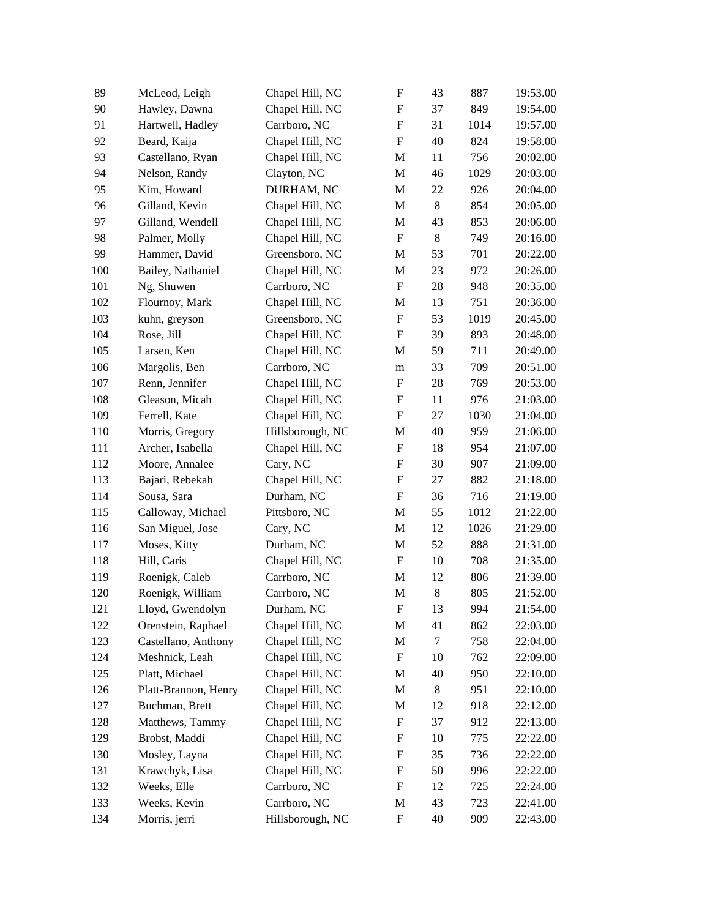| 89  | McLeod, Leigh        | Chapel Hill, NC  | ${\rm F}$                 | 43     | 887  | 19:53.00 |
|-----|----------------------|------------------|---------------------------|--------|------|----------|
| 90  | Hawley, Dawna        | Chapel Hill, NC  | ${\rm F}$                 | 37     | 849  | 19:54.00 |
| 91  | Hartwell, Hadley     | Carrboro, NC     | $\boldsymbol{\mathrm{F}}$ | 31     | 1014 | 19:57.00 |
| 92  | Beard, Kaija         | Chapel Hill, NC  | ${\bf F}$                 | 40     | 824  | 19:58.00 |
| 93  | Castellano, Ryan     | Chapel Hill, NC  | M                         | 11     | 756  | 20:02.00 |
| 94  | Nelson, Randy        | Clayton, NC      | M                         | 46     | 1029 | 20:03.00 |
| 95  | Kim, Howard          | DURHAM, NC       | M                         | 22     | 926  | 20:04.00 |
| 96  | Gilland, Kevin       | Chapel Hill, NC  | M                         | 8      | 854  | 20:05.00 |
| 97  | Gilland, Wendell     | Chapel Hill, NC  | M                         | 43     | 853  | 20:06.00 |
| 98  | Palmer, Molly        | Chapel Hill, NC  | ${\bf F}$                 | $8\,$  | 749  | 20:16.00 |
| 99  | Hammer, David        | Greensboro, NC   | M                         | 53     | 701  | 20:22.00 |
| 100 | Bailey, Nathaniel    | Chapel Hill, NC  | M                         | 23     | 972  | 20:26.00 |
| 101 | Ng, Shuwen           | Carrboro, NC     | ${\bf F}$                 | $28\,$ | 948  | 20:35.00 |
| 102 | Flournoy, Mark       | Chapel Hill, NC  | M                         | 13     | 751  | 20:36.00 |
| 103 | kuhn, greyson        | Greensboro, NC   | ${\rm F}$                 | 53     | 1019 | 20:45.00 |
| 104 | Rose, Jill           | Chapel Hill, NC  | $\boldsymbol{\mathrm{F}}$ | 39     | 893  | 20:48.00 |
| 105 | Larsen, Ken          | Chapel Hill, NC  | M                         | 59     | 711  | 20:49.00 |
| 106 | Margolis, Ben        | Carrboro, NC     | ${\bf m}$                 | 33     | 709  | 20:51.00 |
| 107 | Renn, Jennifer       | Chapel Hill, NC  | $\boldsymbol{\mathrm{F}}$ | $28\,$ | 769  | 20:53.00 |
| 108 | Gleason, Micah       | Chapel Hill, NC  | $\boldsymbol{\mathrm{F}}$ | 11     | 976  | 21:03.00 |
| 109 | Ferrell, Kate        | Chapel Hill, NC  | ${\rm F}$                 | 27     | 1030 | 21:04.00 |
| 110 | Morris, Gregory      | Hillsborough, NC | M                         | 40     | 959  | 21:06.00 |
| 111 | Archer, Isabella     | Chapel Hill, NC  | $\boldsymbol{\mathrm{F}}$ | 18     | 954  | 21:07.00 |
| 112 | Moore, Annalee       | Cary, NC         | $\boldsymbol{\mathrm{F}}$ | 30     | 907  | 21:09.00 |
| 113 | Bajari, Rebekah      | Chapel Hill, NC  | $\boldsymbol{\mathrm{F}}$ | 27     | 882  | 21:18.00 |
| 114 | Sousa, Sara          | Durham, NC       | ${\rm F}$                 | 36     | 716  | 21:19.00 |
| 115 | Calloway, Michael    | Pittsboro, NC    | M                         | 55     | 1012 | 21:22.00 |
| 116 | San Miguel, Jose     | Cary, NC         | M                         | 12     | 1026 | 21:29.00 |
| 117 | Moses, Kitty         | Durham, NC       | M                         | 52     | 888  | 21:31.00 |
| 118 | Hill, Caris          | Chapel Hill, NC  | ${\rm F}$                 | 10     | 708  | 21:35.00 |
| 119 | Roenigk, Caleb       | Carrboro, NC     | M                         | 12     | 806  | 21:39.00 |
| 120 | Roenigk, William     | Carrboro, NC     | M                         | $8\,$  | 805  | 21:52.00 |
| 121 | Lloyd, Gwendolyn     | Durham, NC       | ${\bf F}$                 | 13     | 994  | 21:54.00 |
| 122 | Orenstein, Raphael   | Chapel Hill, NC  | M                         | 41     | 862  | 22:03.00 |
| 123 | Castellano, Anthony  | Chapel Hill, NC  | M                         | 7      | 758  | 22:04.00 |
| 124 | Meshnick, Leah       | Chapel Hill, NC  | F                         | 10     | 762  | 22:09.00 |
| 125 | Platt, Michael       | Chapel Hill, NC  | M                         | 40     | 950  | 22:10.00 |
| 126 | Platt-Brannon, Henry | Chapel Hill, NC  | M                         | 8      | 951  | 22:10.00 |
| 127 | Buchman, Brett       | Chapel Hill, NC  | M                         | 12     | 918  | 22:12.00 |
| 128 | Matthews, Tammy      | Chapel Hill, NC  | ${\rm F}$                 | 37     | 912  | 22:13.00 |
| 129 | Brobst, Maddi        | Chapel Hill, NC  | F                         | 10     | 775  | 22:22.00 |
| 130 | Mosley, Layna        | Chapel Hill, NC  | F                         | 35     | 736  | 22:22.00 |
| 131 | Krawchyk, Lisa       | Chapel Hill, NC  | F                         | 50     | 996  | 22:22.00 |
| 132 | Weeks, Elle          | Carrboro, NC     | $\boldsymbol{\mathrm{F}}$ | 12     | 725  | 22:24.00 |
|     |                      |                  |                           |        |      |          |
| 133 | Weeks, Kevin         | Carrboro, NC     | M                         | 43     | 723  | 22:41.00 |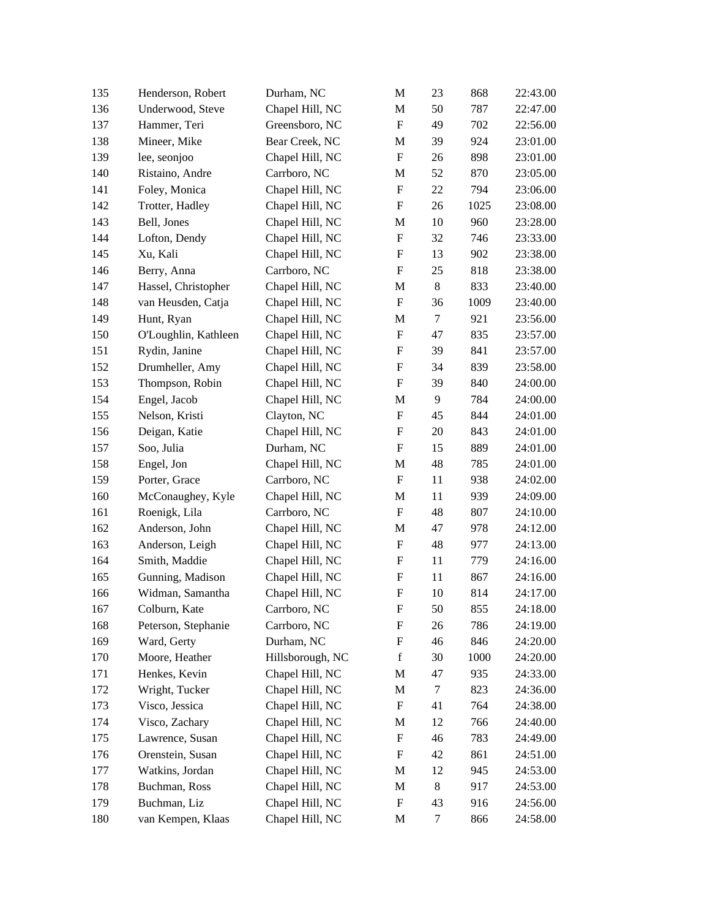| 135 | Henderson, Robert    | Durham, NC       | $\mathbf M$               | 23     | 868  | 22:43.00 |
|-----|----------------------|------------------|---------------------------|--------|------|----------|
| 136 | Underwood, Steve     | Chapel Hill, NC  | $\mathbf M$               | 50     | 787  | 22:47.00 |
| 137 | Hammer, Teri         | Greensboro, NC   | ${\bf F}$                 | 49     | 702  | 22:56.00 |
| 138 | Mineer, Mike         | Bear Creek, NC   | M                         | 39     | 924  | 23:01.00 |
| 139 | lee, seonjoo         | Chapel Hill, NC  | ${\rm F}$                 | 26     | 898  | 23:01.00 |
| 140 | Ristaino, Andre      | Carrboro, NC     | M                         | 52     | 870  | 23:05.00 |
| 141 | Foley, Monica        | Chapel Hill, NC  | ${\bf F}$                 | 22     | 794  | 23:06.00 |
| 142 | Trotter, Hadley      | Chapel Hill, NC  | ${\rm F}$                 | $26\,$ | 1025 | 23:08.00 |
| 143 | Bell, Jones          | Chapel Hill, NC  | M                         | 10     | 960  | 23:28.00 |
| 144 | Lofton, Dendy        | Chapel Hill, NC  | ${\rm F}$                 | 32     | 746  | 23:33.00 |
| 145 | Xu, Kali             | Chapel Hill, NC  | $\boldsymbol{\mathrm{F}}$ | 13     | 902  | 23:38.00 |
| 146 | Berry, Anna          | Carrboro, NC     | $\boldsymbol{\mathrm{F}}$ | $25\,$ | 818  | 23:38.00 |
| 147 | Hassel, Christopher  | Chapel Hill, NC  | M                         | $8\,$  | 833  | 23:40.00 |
| 148 | van Heusden, Catja   | Chapel Hill, NC  | $\boldsymbol{\mathrm{F}}$ | 36     | 1009 | 23:40.00 |
| 149 | Hunt, Ryan           | Chapel Hill, NC  | M                         | $\tau$ | 921  | 23:56.00 |
| 150 | O'Loughlin, Kathleen | Chapel Hill, NC  | ${\rm F}$                 | 47     | 835  | 23:57.00 |
| 151 | Rydin, Janine        | Chapel Hill, NC  | ${\rm F}$                 | 39     | 841  | 23:57.00 |
| 152 | Drumheller, Amy      | Chapel Hill, NC  | $\boldsymbol{\mathrm{F}}$ | 34     | 839  | 23:58.00 |
| 153 | Thompson, Robin      | Chapel Hill, NC  | $\boldsymbol{\mathrm{F}}$ | 39     | 840  | 24:00.00 |
| 154 | Engel, Jacob         | Chapel Hill, NC  | M                         | 9      | 784  | 24:00.00 |
| 155 | Nelson, Kristi       | Clayton, NC      | $\boldsymbol{\mathrm{F}}$ | 45     | 844  | 24:01.00 |
| 156 | Deigan, Katie        | Chapel Hill, NC  | $\boldsymbol{\mathrm{F}}$ | 20     | 843  | 24:01.00 |
| 157 | Soo, Julia           | Durham, NC       | $\boldsymbol{\mathrm{F}}$ | 15     | 889  | 24:01.00 |
| 158 | Engel, Jon           | Chapel Hill, NC  | $\mathbf M$               | 48     | 785  | 24:01.00 |
| 159 | Porter, Grace        | Carrboro, NC     | $\boldsymbol{\mathrm{F}}$ | 11     | 938  | 24:02.00 |
| 160 | McConaughey, Kyle    | Chapel Hill, NC  | M                         | 11     | 939  | 24:09.00 |
| 161 | Roenigk, Lila        | Carrboro, NC     | $\boldsymbol{\mathrm{F}}$ | 48     | 807  | 24:10.00 |
| 162 | Anderson, John       | Chapel Hill, NC  | M                         | 47     | 978  | 24:12.00 |
| 163 | Anderson, Leigh      | Chapel Hill, NC  | ${\rm F}$                 | 48     | 977  | 24:13.00 |
| 164 | Smith, Maddie        | Chapel Hill, NC  | ${\rm F}$                 | 11     | 779  | 24:16.00 |
| 165 | Gunning, Madison     | Chapel Hill, NC  | F                         | 11     | 867  | 24:16.00 |
| 166 | Widman, Samantha     | Chapel Hill, NC  | ${\bf F}$                 | 10     | 814  | 24:17.00 |
| 167 | Colburn, Kate        | Carrboro, NC     | ${\bf F}$                 | 50     | 855  | 24:18.00 |
| 168 | Peterson, Stephanie  | Carrboro, NC     | ${\rm F}$                 | 26     | 786  | 24:19.00 |
| 169 | Ward, Gerty          | Durham, NC       | $\boldsymbol{\mathrm{F}}$ | 46     | 846  | 24:20.00 |
| 170 | Moore, Heather       | Hillsborough, NC | $\mathbf f$               | 30     | 1000 | 24:20.00 |
| 171 | Henkes, Kevin        | Chapel Hill, NC  | M                         | 47     | 935  | 24:33.00 |
| 172 | Wright, Tucker       | Chapel Hill, NC  | M                         | 7      | 823  | 24:36.00 |
| 173 | Visco, Jessica       | Chapel Hill, NC  | F                         | 41     | 764  | 24:38.00 |
| 174 | Visco, Zachary       | Chapel Hill, NC  | M                         | 12     | 766  | 24:40.00 |
| 175 | Lawrence, Susan      | Chapel Hill, NC  | F                         | 46     | 783  | 24:49.00 |
| 176 | Orenstein, Susan     | Chapel Hill, NC  | ${\rm F}$                 | 42     | 861  | 24:51.00 |
| 177 | Watkins, Jordan      | Chapel Hill, NC  | M                         | 12     | 945  | 24:53.00 |
| 178 | Buchman, Ross        | Chapel Hill, NC  | M                         | 8      | 917  | 24:53.00 |
| 179 | Buchman, Liz         | Chapel Hill, NC  | F                         | 43     | 916  | 24:56.00 |
| 180 | van Kempen, Klaas    | Chapel Hill, NC  | M                         | $\tau$ | 866  | 24:58.00 |
|     |                      |                  |                           |        |      |          |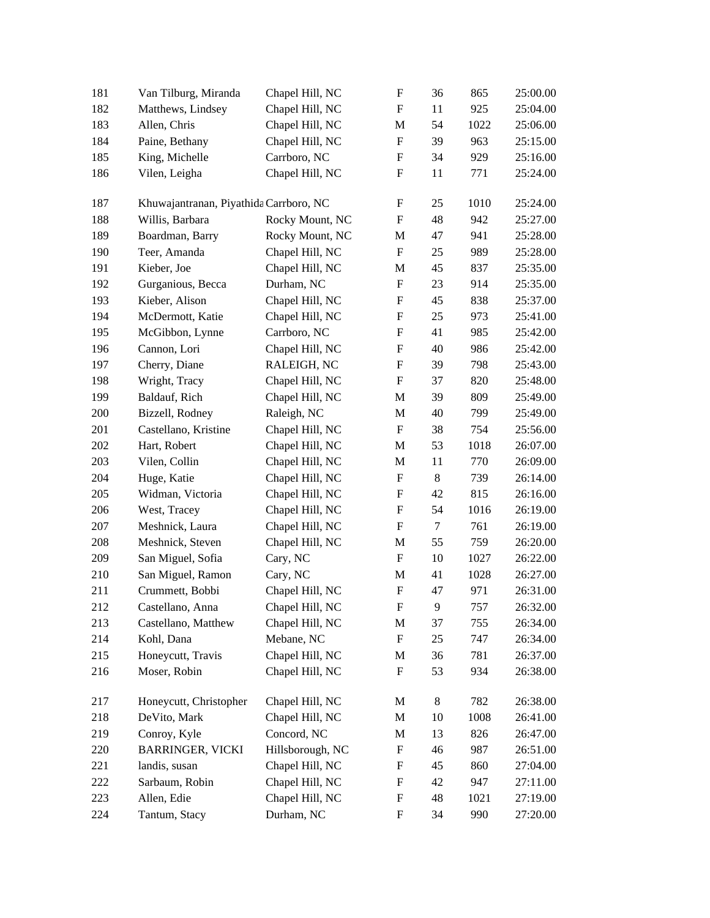| 181 | Van Tilburg, Miranda                   | Chapel Hill, NC  | F                         | 36     | 865  | 25:00.00 |
|-----|----------------------------------------|------------------|---------------------------|--------|------|----------|
| 182 | Matthews, Lindsey                      | Chapel Hill, NC  | $\boldsymbol{\mathrm{F}}$ | 11     | 925  | 25:04.00 |
| 183 | Allen, Chris                           | Chapel Hill, NC  | M                         | 54     | 1022 | 25:06.00 |
| 184 | Paine, Bethany                         | Chapel Hill, NC  | $\boldsymbol{\mathrm{F}}$ | 39     | 963  | 25:15.00 |
| 185 | King, Michelle                         | Carrboro, NC     | $\boldsymbol{\mathrm{F}}$ | 34     | 929  | 25:16.00 |
| 186 | Vilen, Leigha                          | Chapel Hill, NC  | $\boldsymbol{\mathrm{F}}$ | 11     | 771  | 25:24.00 |
| 187 | Khuwajantranan, Piyathida Carrboro, NC |                  | F                         | 25     | 1010 | 25:24.00 |
| 188 | Willis, Barbara                        | Rocky Mount, NC  | $\boldsymbol{\mathrm{F}}$ | 48     | 942  | 25:27.00 |
| 189 | Boardman, Barry                        | Rocky Mount, NC  | M                         | 47     | 941  | 25:28.00 |
| 190 | Teer, Amanda                           | Chapel Hill, NC  | $\mathbf F$               | 25     | 989  | 25:28.00 |
| 191 | Kieber, Joe                            | Chapel Hill, NC  | M                         | 45     | 837  | 25:35.00 |
| 192 | Gurganious, Becca                      | Durham, NC       | $\boldsymbol{\mathrm{F}}$ | 23     | 914  | 25:35.00 |
| 193 | Kieber, Alison                         | Chapel Hill, NC  | $\boldsymbol{\mathrm{F}}$ | 45     | 838  | 25:37.00 |
| 194 | McDermott, Katie                       | Chapel Hill, NC  | $\mathbf F$               | $25\,$ | 973  | 25:41.00 |
| 195 | McGibbon, Lynne                        | Carrboro, NC     | F                         | 41     | 985  | 25:42.00 |
| 196 | Cannon, Lori                           | Chapel Hill, NC  | $\boldsymbol{\mathrm{F}}$ | 40     | 986  | 25:42.00 |
| 197 | Cherry, Diane                          | RALEIGH, NC      | $\boldsymbol{\mathrm{F}}$ | 39     | 798  | 25:43.00 |
| 198 | Wright, Tracy                          | Chapel Hill, NC  | $\boldsymbol{\mathrm{F}}$ | 37     | 820  | 25:48.00 |
| 199 | Baldauf, Rich                          | Chapel Hill, NC  | M                         | 39     | 809  | 25:49.00 |
| 200 | Bizzell, Rodney                        | Raleigh, NC      | M                         | 40     | 799  | 25:49.00 |
| 201 | Castellano, Kristine                   | Chapel Hill, NC  | $\boldsymbol{\mathrm{F}}$ | 38     | 754  | 25:56.00 |
| 202 | Hart, Robert                           | Chapel Hill, NC  | M                         | 53     | 1018 | 26:07.00 |
| 203 | Vilen, Collin                          | Chapel Hill, NC  | M                         | 11     | 770  | 26:09.00 |
| 204 | Huge, Katie                            | Chapel Hill, NC  | $\boldsymbol{\mathrm{F}}$ | 8      | 739  | 26:14.00 |
| 205 | Widman, Victoria                       | Chapel Hill, NC  | $\boldsymbol{\mathrm{F}}$ | 42     | 815  | 26:16.00 |
| 206 | West, Tracey                           | Chapel Hill, NC  | $\boldsymbol{\mathrm{F}}$ | 54     | 1016 | 26:19.00 |
| 207 | Meshnick, Laura                        | Chapel Hill, NC  | $\boldsymbol{\mathrm{F}}$ | $\tau$ | 761  | 26:19.00 |
| 208 | Meshnick, Steven                       | Chapel Hill, NC  | M                         | 55     | 759  | 26:20.00 |
| 209 | San Miguel, Sofia                      | Cary, NC         | $\boldsymbol{\mathrm{F}}$ | 10     | 1027 | 26:22.00 |
| 210 | San Miguel, Ramon                      | Cary, NC         | M                         | 41     | 1028 | 26:27.00 |
| 211 | Crummett, Bobbi                        | Chapel Hill, NC  | $\boldsymbol{\mathrm{F}}$ | 47     | 971  | 26:31.00 |
| 212 | Castellano, Anna                       | Chapel Hill, NC  | ${\bf F}$                 | 9      | 757  | 26:32.00 |
| 213 | Castellano, Matthew                    | Chapel Hill, NC  | M                         | 37     | 755  | 26:34.00 |
| 214 | Kohl, Dana                             | Mebane, NC       | $\boldsymbol{\mathrm{F}}$ | 25     | 747  | 26:34.00 |
| 215 | Honeycutt, Travis                      | Chapel Hill, NC  | M                         | 36     | 781  | 26:37.00 |
| 216 | Moser, Robin                           | Chapel Hill, NC  | $\boldsymbol{\mathrm{F}}$ | 53     | 934  | 26:38.00 |
| 217 | Honeycutt, Christopher                 | Chapel Hill, NC  | M                         | 8      | 782  | 26:38.00 |
| 218 | DeVito, Mark                           | Chapel Hill, NC  | M                         | 10     | 1008 | 26:41.00 |
| 219 | Conroy, Kyle                           | Concord, NC      | M                         | 13     | 826  | 26:47.00 |
| 220 | <b>BARRINGER, VICKI</b>                | Hillsborough, NC | $\mathbf F$               | 46     | 987  | 26:51.00 |
| 221 | landis, susan                          | Chapel Hill, NC  | $\boldsymbol{\mathrm{F}}$ | 45     | 860  | 27:04.00 |
| 222 | Sarbaum, Robin                         | Chapel Hill, NC  | F                         | 42     | 947  | 27:11.00 |
| 223 | Allen, Edie                            | Chapel Hill, NC  | F                         | 48     | 1021 | 27:19.00 |
| 224 | Tantum, Stacy                          | Durham, NC       | $\boldsymbol{\mathrm{F}}$ | 34     | 990  | 27:20.00 |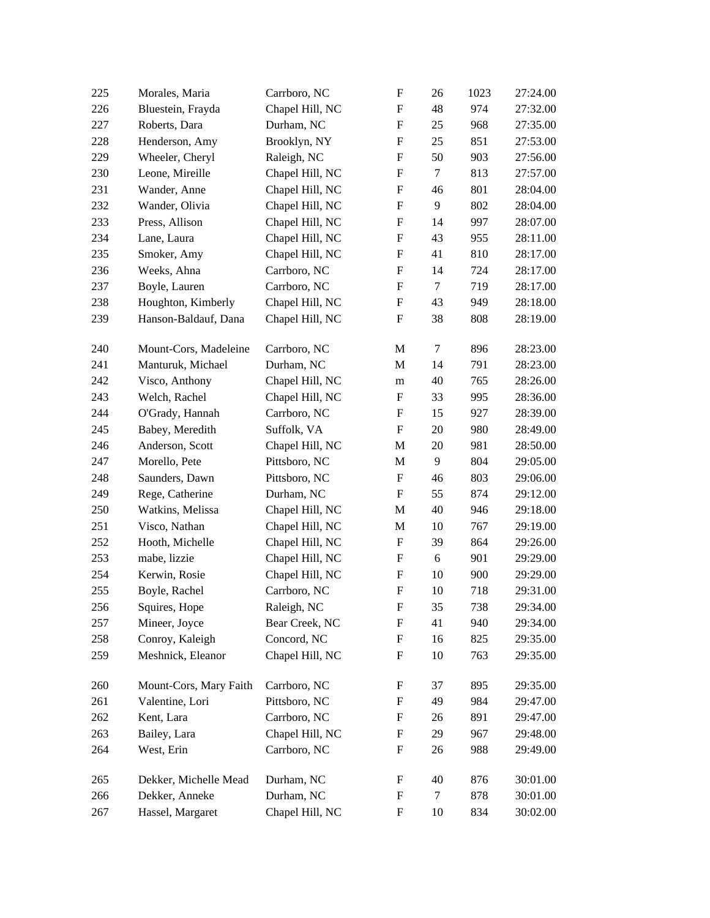|     | Morales, Maria         | Carrboro, NC    | $\boldsymbol{\mathrm{F}}$ | 26     | 1023 | 27:24.00 |
|-----|------------------------|-----------------|---------------------------|--------|------|----------|
| 226 | Bluestein, Frayda      | Chapel Hill, NC | $\boldsymbol{\mathrm{F}}$ | 48     | 974  | 27:32.00 |
| 227 | Roberts, Dara          | Durham, NC      | $\boldsymbol{\mathrm{F}}$ | 25     | 968  | 27:35.00 |
| 228 | Henderson, Amy         | Brooklyn, NY    | $\mathbf F$               | 25     | 851  | 27:53.00 |
| 229 | Wheeler, Cheryl        | Raleigh, NC     | $\boldsymbol{\mathrm{F}}$ | 50     | 903  | 27:56.00 |
| 230 | Leone, Mireille        | Chapel Hill, NC | $\boldsymbol{\mathrm{F}}$ | $\tau$ | 813  | 27:57.00 |
| 231 | Wander, Anne           | Chapel Hill, NC | $\boldsymbol{\mathrm{F}}$ | 46     | 801  | 28:04.00 |
| 232 | Wander, Olivia         | Chapel Hill, NC | ${\rm F}$                 | 9      | 802  | 28:04.00 |
| 233 | Press, Allison         | Chapel Hill, NC | ${\rm F}$                 | 14     | 997  | 28:07.00 |
| 234 | Lane, Laura            | Chapel Hill, NC | $\mathbf F$               | 43     | 955  | 28:11.00 |
| 235 | Smoker, Amy            | Chapel Hill, NC | F                         | 41     | 810  | 28:17.00 |
| 236 | Weeks, Ahna            | Carrboro, NC    | ${\rm F}$                 | 14     | 724  | 28:17.00 |
| 237 | Boyle, Lauren          | Carrboro, NC    | ${\rm F}$                 | $\tau$ | 719  | 28:17.00 |
| 238 | Houghton, Kimberly     | Chapel Hill, NC | ${\rm F}$                 | 43     | 949  | 28:18.00 |
| 239 | Hanson-Baldauf, Dana   | Chapel Hill, NC | $\boldsymbol{\mathrm{F}}$ | 38     | 808  | 28:19.00 |
| 240 | Mount-Cors, Madeleine  | Carrboro, NC    | M                         | $\tau$ | 896  | 28:23.00 |
| 241 | Manturuk, Michael      | Durham, NC      | M                         | 14     | 791  | 28:23.00 |
| 242 | Visco, Anthony         | Chapel Hill, NC | m                         | 40     | 765  | 28:26.00 |
| 243 | Welch, Rachel          | Chapel Hill, NC | ${\rm F}$                 | 33     | 995  | 28:36.00 |
| 244 | O'Grady, Hannah        | Carrboro, NC    | ${\rm F}$                 | 15     | 927  | 28:39.00 |
| 245 | Babey, Meredith        | Suffolk, VA     | $\boldsymbol{\mathrm{F}}$ | $20\,$ | 980  | 28:49.00 |
| 246 | Anderson, Scott        | Chapel Hill, NC | M                         | $20\,$ | 981  | 28:50.00 |
| 247 | Morello, Pete          | Pittsboro, NC   | M                         | 9      | 804  | 29:05.00 |
|     |                        |                 |                           |        |      |          |
| 248 | Saunders, Dawn         | Pittsboro, NC   | $\boldsymbol{\mathrm{F}}$ | 46     | 803  | 29:06.00 |
| 249 | Rege, Catherine        | Durham, NC      | $\boldsymbol{\mathrm{F}}$ | 55     | 874  | 29:12.00 |
| 250 | Watkins, Melissa       | Chapel Hill, NC | M                         | 40     | 946  | 29:18.00 |
| 251 | Visco, Nathan          | Chapel Hill, NC | M                         | 10     | 767  | 29:19.00 |
| 252 | Hooth, Michelle        | Chapel Hill, NC | F                         | 39     | 864  | 29:26.00 |
| 253 | mabe, lizzie           | Chapel Hill, NC | ${\rm F}$                 | 6      | 901  | 29:29.00 |
| 254 | Kerwin, Rosie          | Chapel Hill, NC | ${\rm F}$                 | 10     | 900  | 29:29.00 |
| 255 | Boyle, Rachel          | Carrboro, NC    | ${\bf F}$                 | 10     | 718  | 29:31.00 |
| 256 | Squires, Hope          | Raleigh, NC     | ${\rm F}$                 | 35     | 738  | 29:34.00 |
| 257 | Mineer, Joyce          | Bear Creek, NC  | F                         | 41     | 940  | 29:34.00 |
| 258 | Conroy, Kaleigh        | Concord, NC     | ${\rm F}$                 | 16     | 825  | 29:35.00 |
| 259 | Meshnick, Eleanor      | Chapel Hill, NC | F                         | 10     | 763  | 29:35.00 |
| 260 | Mount-Cors, Mary Faith | Carrboro, NC    | F                         | 37     | 895  | 29:35.00 |
| 261 | Valentine, Lori        | Pittsboro, NC   | F                         | 49     | 984  | 29:47.00 |
| 262 | Kent, Lara             | Carrboro, NC    | F                         | 26     | 891  | 29:47.00 |
| 263 | Bailey, Lara           | Chapel Hill, NC | F                         | 29     | 967  | 29:48.00 |
| 264 | West, Erin             | Carrboro, NC    | F                         | 26     | 988  | 29:49.00 |
| 265 | Dekker, Michelle Mead  | Durham, NC      | F                         | 40     | 876  | 30:01.00 |
| 266 | Dekker, Anneke         | Durham, NC      | F                         | 7      | 878  | 30:01.00 |